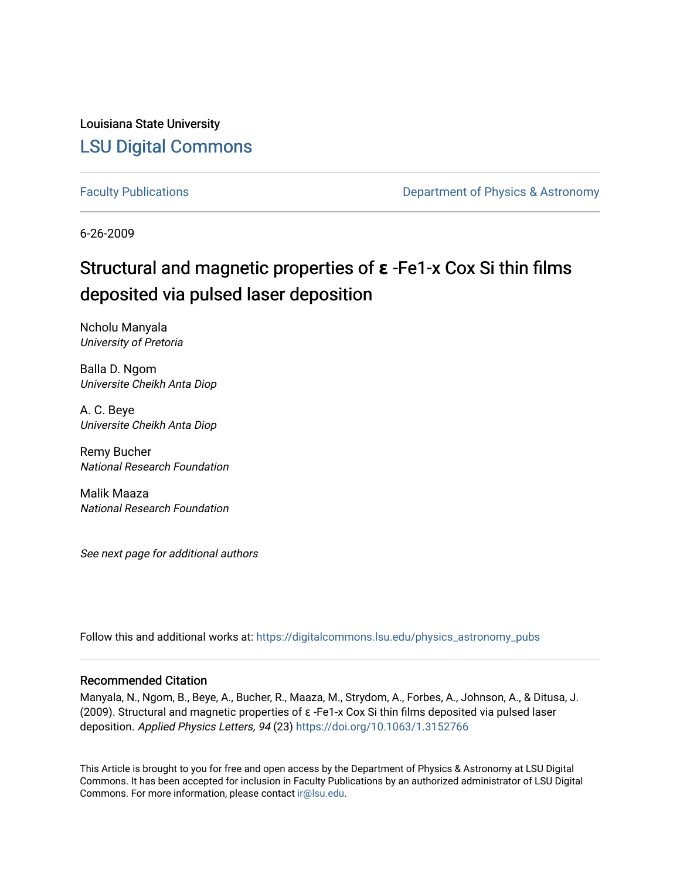Louisiana State University [LSU Digital Commons](https://digitalcommons.lsu.edu/)

[Faculty Publications](https://digitalcommons.lsu.edu/physics_astronomy_pubs) **Exercise 2 and Table 2 and Table 2 and Table 2 and Table 2 and Table 2 and Table 2 and Table 2 and Table 2 and Table 2 and Table 2 and Table 2 and Table 2 and Table 2 and Table 2 and Table 2 and Table** 

6-26-2009

# Structural and magnetic properties of **ε** -Fe1-x Cox Si thin films deposited via pulsed laser deposition

Ncholu Manyala University of Pretoria

Balla D. Ngom Universite Cheikh Anta Diop

A. C. Beye Universite Cheikh Anta Diop

Remy Bucher National Research Foundation

Malik Maaza National Research Foundation

See next page for additional authors

Follow this and additional works at: [https://digitalcommons.lsu.edu/physics\\_astronomy\\_pubs](https://digitalcommons.lsu.edu/physics_astronomy_pubs?utm_source=digitalcommons.lsu.edu%2Fphysics_astronomy_pubs%2F1488&utm_medium=PDF&utm_campaign=PDFCoverPages) 

### Recommended Citation

Manyala, N., Ngom, B., Beye, A., Bucher, R., Maaza, M., Strydom, A., Forbes, A., Johnson, A., & Ditusa, J. (2009). Structural and magnetic properties of ε -Fe1-x Cox Si thin films deposited via pulsed laser deposition. Applied Physics Letters, 94 (23) <https://doi.org/10.1063/1.3152766>

This Article is brought to you for free and open access by the Department of Physics & Astronomy at LSU Digital Commons. It has been accepted for inclusion in Faculty Publications by an authorized administrator of LSU Digital Commons. For more information, please contact [ir@lsu.edu](mailto:ir@lsu.edu).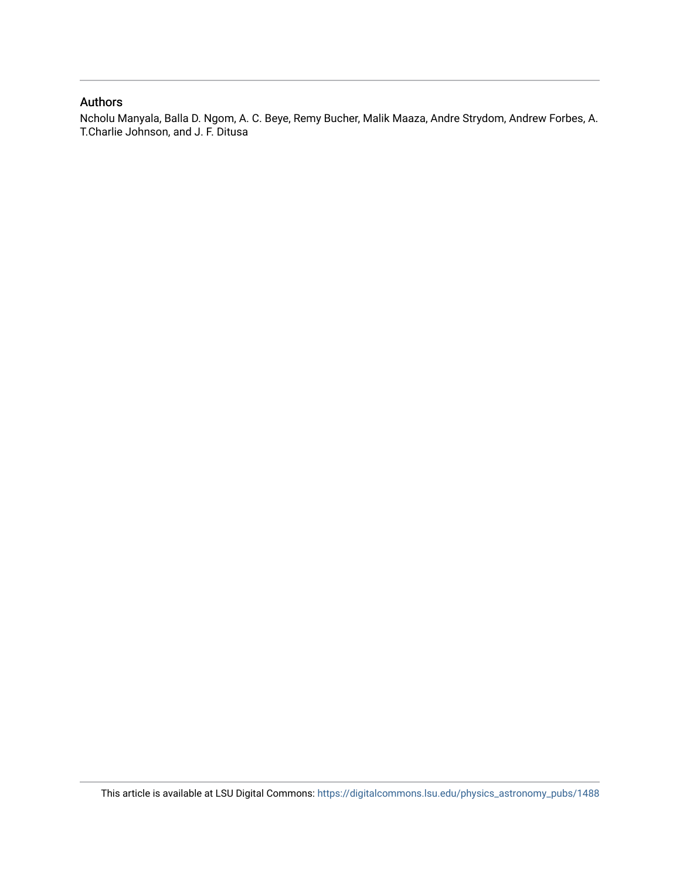## Authors

Ncholu Manyala, Balla D. Ngom, A. C. Beye, Remy Bucher, Malik Maaza, Andre Strydom, Andrew Forbes, A. T.Charlie Johnson, and J. F. Ditusa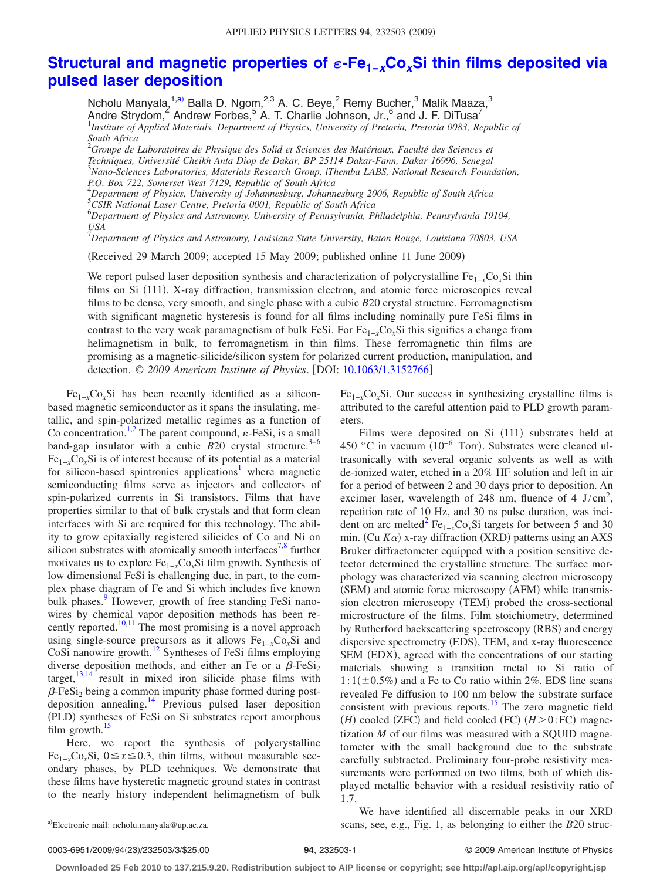# **[Structural and magnetic properties of](http://dx.doi.org/10.1063/1.3152766)** *ε***-Fe1−***x***Co***x***Si thin films deposited via [pulsed laser deposition](http://dx.doi.org/10.1063/1.3152766)**

Ncholu Manyala,<sup>1[,a](#page-2-0))</sup> Balla D. Ngom,<sup>2,3</sup> A. C. Beye,<sup>2</sup> Remy Bucher,<sup>3</sup> Malik Maaza,<sup>3</sup> Andre Strydom,<sup>4</sup> Andrew Forbes,<sup>5</sup> A. T. Charlie Johnson, Jr.,<sup>6</sup> and J. F. DiTusa<sup>7</sup> <sup>1</sup>Institute of Applied Materials, Department of Physics, University of Pretoria, Pretoria 0083, Republic of *South Africa*

2 *Groupe de Laboratoires de Physique des Solid et Sciences des Matériaux, Faculté des Sciences et Techniques, Université Cheikh Anta Diop de Dakar, BP 25114 Dakar-Fann, Dakar 16996, Senegal* 3 *Nano-Sciences Laboratories, Materials Research Group, iThemba LABS, National Research Foundation, P.O. Box 722, Somerset West 7129, Republic of South Africa* 4 *Department of Physics, University of Johannesburg, Johannesburg 2006, Republic of South Africa*

5 *CSIR National Laser Centre, Pretoria 0001, Republic of South Africa*

6 *Department of Physics and Astronomy, University of Pennsylvania, Philadelphia, Pennsylvania 19104, USA*

7 *Department of Physics and Astronomy, Louisiana State University, Baton Rouge, Louisiana 70803, USA*

Received 29 March 2009; accepted 15 May 2009; published online 11 June 2009-

We report pulsed laser deposition synthesis and characterization of polycrystalline Fe1−*x*Co*x*Si thin films on Si (111). X-ray diffraction, transmission electron, and atomic force microscopies reveal films to be dense, very smooth, and single phase with a cubic *B*20 crystal structure. Ferromagnetism with significant magnetic hysteresis is found for all films including nominally pure FeSi films in contrast to the very weak paramagnetism of bulk FeSi. For Fe1−*x*Co*x*Si this signifies a change from helimagnetism in bulk, to ferromagnetism in thin films. These ferromagnetic thin films are promising as a magnetic-silicide/silicon system for polarized current production, manipulation, and detection. © *2009 American Institute of Physics*. DOI: [10.1063/1.3152766](http://dx.doi.org/10.1063/1.3152766)

Fe1−*x*Co*x*Si has been recently identified as a siliconbased magnetic semiconductor as it spans the insulating, metallic, and spin-polarized metallic regimes as a function of Co concentration.<sup>1,[2](#page-4-1)</sup> The parent compound,  $\varepsilon$ -FeSi, is a small band-gap insulator with a cubic  $B20$  crystal structure.<sup>3–[6](#page-4-3)</sup> Fe1−*x*Co*x*Si is of interest because of its potential as a material for silicon-based spintronics applications<sup>1</sup> where magnetic semiconducting films serve as injectors and collectors of spin-polarized currents in Si transistors. Films that have properties similar to that of bulk crystals and that form clean interfaces with Si are required for this technology. The ability to grow epitaxially registered silicides of Co and Ni on silicon substrates with atomically smooth interfaces<sup>7[,8](#page-4-5)</sup> further motivates us to explore Fe1−*x*Co*x*Si film growth. Synthesis of low dimensional FeSi is challenging due, in part, to the complex phase diagram of Fe and Si which includes five known bulk phases.<sup>9</sup> However, growth of free standing FeSi nanowires by chemical vapor deposition methods has been re- $\frac{10,11}{2}$  $\frac{10,11}{2}$  $\frac{10,11}{2}$  reported.<sup>10,11</sup> The most promising is a novel approach using single-source precursors as it allows  $Fe_{1-x}Co_xSi$  and CoSi nanowire growth[.12](#page-4-9) Syntheses of FeSi films employing diverse deposition methods, and either an Fe or a  $\beta$ -FeSi<sub>2</sub> target, $13,14$  $13,14$  result in mixed iron silicide phase films with  $\beta$ -FeSi<sub>2</sub> being a common impurity phase formed during postdeposition annealing[.14](#page-4-11) Previous pulsed laser deposition (PLD) syntheses of FeSi on Si substrates report amorphous film growth. $15$ 

Here, we report the synthesis of polycrystalline Fe<sub>1-*x*</sub>Co<sub>*x*</sub>Si, 0≤*x*≤0.3, thin films, without measurable secondary phases, by PLD techniques. We demonstrate that these films have hysteretic magnetic ground states in contrast to the nearly history independent helimagnetism of bulk

Fe1−*x*Co*x*Si. Our success in synthesizing crystalline films is attributed to the careful attention paid to PLD growth parameters.

Films were deposited on Si (111) substrates held at 450 °C in vacuum (10<sup>-6</sup> Torr). Substrates were cleaned ultrasonically with several organic solvents as well as with de-ionized water, etched in a 20% HF solution and left in air for a period of between 2 and 30 days prior to deposition. An excimer laser, wavelength of 248 nm, fluence of 4  $J/cm^2$ , repetition rate of 10 Hz, and 30 ns pulse duration, was incident on arc melted<sup>2</sup> Fe<sub>1−*x*</sub>Co<sub>*x*</sub>Si targets for between 5 and 30 min. (Cu  $K\alpha$ ) x-ray diffraction (XRD) patterns using an AXS Bruker diffractometer equipped with a position sensitive detector determined the crystalline structure. The surface morphology was characterized via scanning electron microscopy (SEM) and atomic force microscopy (AFM) while transmission electron microscopy (TEM) probed the cross-sectional microstructure of the films. Film stoichiometry, determined by Rutherford backscattering spectroscopy (RBS) and energy dispersive spectrometry (EDS), TEM, and x-ray fluorescence SEM (EDX), agreed with the concentrations of our starting materials showing a transition metal to Si ratio of  $1:1(\pm 0.5\%)$  and a Fe to Co ratio within 2%. EDS line scans revealed Fe diffusion to 100 nm below the substrate surface consistent with previous reports.<sup>15</sup> The zero magnetic field  $(H)$  cooled (ZFC) and field cooled (FC)  $(H>0:FC)$  magnetization *M* of our films was measured with a SQUID magnetometer with the small background due to the substrate carefully subtracted. Preliminary four-probe resistivity measurements were performed on two films, both of which displayed metallic behavior with a residual resistivity ratio of 1.7.

We have identified all discernable peaks in our XRD scans, see, e.g., Fig. [1,](#page-3-0) as belonging to either the *B*20 struc-

0003-6951/2009/94(23)/232503/3/\$25.00

#### **24**, 232503-1 © 2009 American Institute of Physics

**Downloaded 25 Feb 2010 to 137.215.9.20. Redistribution subject to AIP license or copyright; see http://apl.aip.org/apl/copyright.jsp**

<span id="page-2-0"></span>Electronic mail: ncholu.manyala@up.ac.za.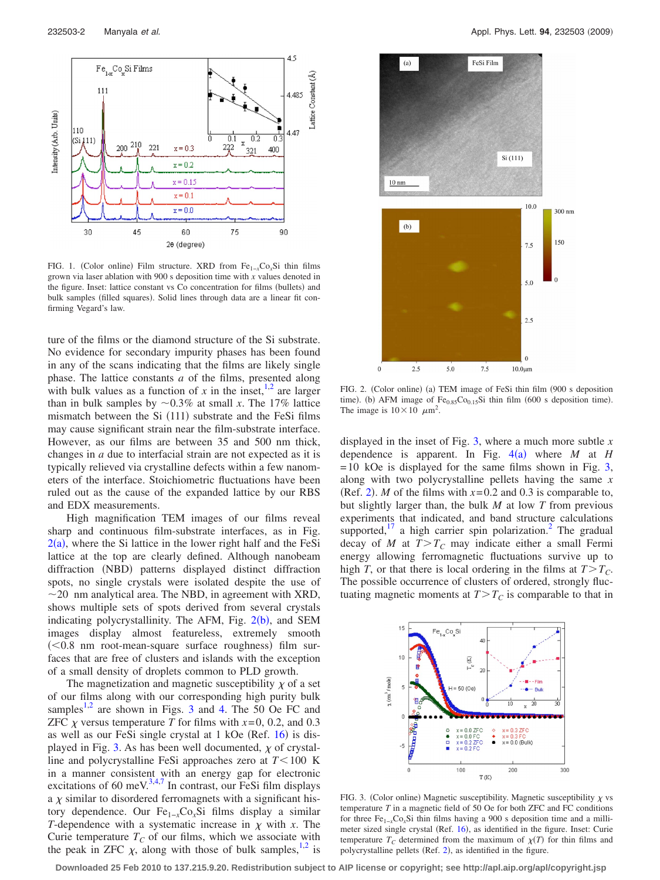<span id="page-3-0"></span>

FIG. 1. (Color online) Film structure. XRD from Fe<sub>1-*x*</sub>Co<sub>*x*</sub>Si thin films grown via laser ablation with 900 s deposition time with *x* values denoted in the figure. Inset: lattice constant vs Co concentration for films (bullets) and bulk samples (filled squares). Solid lines through data are a linear fit confirming Vegard's law.

ture of the films or the diamond structure of the Si substrate. No evidence for secondary impurity phases has been found in any of the scans indicating that the films are likely single phase. The lattice constants *a* of the films, presented along with bulk values as a function of  $x$  in the inset,  $\frac{1}{2}$  are larger than in bulk samples by  $\sim 0.3\%$  at small *x*. The 17% lattice mismatch between the Si (111) substrate and the FeSi films may cause significant strain near the film-substrate interface. However, as our films are between 35 and 500 nm thick, changes in *a* due to interfacial strain are not expected as it is typically relieved via crystalline defects within a few nanometers of the interface. Stoichiometric fluctuations have been ruled out as the cause of the expanded lattice by our RBS and EDX measurements.

High magnification TEM images of our films reveal sharp and continuous film-substrate interfaces, as in Fig.  $2(a)$  $2(a)$ , where the Si lattice in the lower right half and the FeSi lattice at the top are clearly defined. Although nanobeam diffraction (NBD) patterns displayed distinct diffraction spots, no single crystals were isolated despite the use of  $\sim$ 20 nm analytical area. The NBD, in agreement with XRD, shows multiple sets of spots derived from several crystals indicating polycrystallinity. The AFM, Fig. [2](#page-3-1)(b), and SEM images display almost featureless, extremely smooth  $(< 0.8$  nm root-mean-square surface roughness) film surfaces that are free of clusters and islands with the exception of a small density of droplets common to PLD growth.

The magnetization and magnetic susceptibility  $\chi$  of a set of our films along with our corresponding high purity bulk samples<sup>1,[2](#page-4-1)</sup> are shown in Figs. [3](#page-3-2) and [4.](#page-4-13) The 50 Oe FC and ZFC  $\chi$  versus temperature *T* for films with  $x=0$ , 0.2, and 0.3 as well as our FeSi single crystal at 1 kOe (Ref. [16](#page-4-14)) is dis-played in Fig. [3.](#page-3-2) As has been well documented,  $\chi$  of crystalline and polycrystalline FeSi approaches zero at  $T < 100$  K in a manner consistent with an energy gap for electronic excitations of 60 meV. $3,4,7$  $3,4,7$  $3,4,7$  In contrast, our FeSi film displays a  $\chi$  similar to disordered ferromagnets with a significant history dependence. Our Fe1−*x*Co*x*Si films display a similar *T*-dependence with a systematic increase in  $\chi$  with *x*. The Curie temperature  $T_C$  of our films, which we associate with the peak in ZFC  $\chi$ , along with those of bulk samples,<sup>1,[2](#page-4-1)</sup> is

<span id="page-3-1"></span>

FIG. 2. (Color online) (a) TEM image of FeSi thin film (900 s deposition time). (b) AFM image of  $Fe<sub>0.85</sub>Co<sub>0.15</sub>Si$  thin film (600 s deposition time). The image is  $10 \times 10 \mu m^2$ .

displayed in the inset of Fig. [3,](#page-3-2) where a much more subtle *x* dependence is apparent. In Fig.  $4(a)$  $4(a)$  where *M* at *H*  $=10$  kOe is displayed for the same films shown in Fig. [3,](#page-3-2) along with two polycrystalline pellets having the same *x* (Ref. [2](#page-4-1)). *M* of the films with  $x=0.2$  and 0.3 is comparable to, but slightly larger than, the bulk *M* at low *T* from previous experiments that indicated, and band structure calculations supported, $17$  a high carrier spin polarization.<sup>2</sup> The gradual decay of *M* at  $T>T_c$  may indicate either a small Fermi energy allowing ferromagnetic fluctuations survive up to high *T*, or that there is local ordering in the films at  $T>T_C$ . The possible occurrence of clusters of ordered, strongly fluctuating magnetic moments at  $T>T_c$  is comparable to that in

<span id="page-3-2"></span>

FIG. 3. (Color online) Magnetic susceptibility. Magnetic susceptibility  $\chi$  vs temperature *T* in a magnetic field of 50 Oe for both ZFC and FC conditions for three Fe1−*x*Co*x*Si thin films having a 900 s deposition time and a milli-meter sized single crystal (Ref. [16](#page-4-14)), as identified in the figure. Inset: Curie temperature  $T_c$  determined from the maximum of  $\chi(T)$  for thin films and polycrystalline pellets (Ref. [2](#page-4-1)), as identified in the figure.

**Downloaded 25 Feb 2010 to 137.215.9.20. Redistribution subject to AIP license or copyright; see http://apl.aip.org/apl/copyright.jsp**